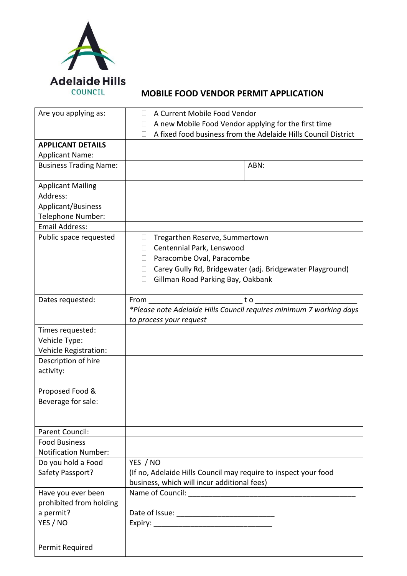

## **MOBILE FOOD VENDOR PERMIT APPLICATION**

| Are you applying as:                           | A Current Mobile Food Vendor                                                                   |  |  |  |
|------------------------------------------------|------------------------------------------------------------------------------------------------|--|--|--|
|                                                | A new Mobile Food Vendor applying for the first time                                           |  |  |  |
|                                                | A fixed food business from the Adelaide Hills Council District                                 |  |  |  |
| <b>APPLICANT DETAILS</b>                       |                                                                                                |  |  |  |
| <b>Applicant Name:</b>                         |                                                                                                |  |  |  |
| <b>Business Trading Name:</b>                  | ABN:                                                                                           |  |  |  |
| <b>Applicant Mailing</b><br>Address:           |                                                                                                |  |  |  |
| <b>Applicant/Business</b><br>Telephone Number: |                                                                                                |  |  |  |
| <b>Email Address:</b>                          |                                                                                                |  |  |  |
| Public space requested                         | Tregarthen Reserve, Summertown<br>$\Box$                                                       |  |  |  |
|                                                | Centennial Park, Lenswood                                                                      |  |  |  |
|                                                | Paracombe Oval, Paracombe                                                                      |  |  |  |
|                                                |                                                                                                |  |  |  |
|                                                | Carey Gully Rd, Bridgewater (adj. Bridgewater Playground)<br>Gillman Road Parking Bay, Oakbank |  |  |  |
|                                                |                                                                                                |  |  |  |
| Dates requested:                               | From<br>to                                                                                     |  |  |  |
|                                                | *Please note Adelaide Hills Council requires minimum 7 working days                            |  |  |  |
|                                                | to process your request                                                                        |  |  |  |
| Times requested:                               |                                                                                                |  |  |  |
| Vehicle Type:                                  |                                                                                                |  |  |  |
| Vehicle Registration:                          |                                                                                                |  |  |  |
| Description of hire                            |                                                                                                |  |  |  |
| activity:                                      |                                                                                                |  |  |  |
|                                                |                                                                                                |  |  |  |
| Proposed Food &                                |                                                                                                |  |  |  |
| Beverage for sale:                             |                                                                                                |  |  |  |
|                                                |                                                                                                |  |  |  |
|                                                |                                                                                                |  |  |  |
| <b>Parent Council:</b>                         |                                                                                                |  |  |  |
| <b>Food Business</b>                           |                                                                                                |  |  |  |
| <b>Notification Number:</b>                    |                                                                                                |  |  |  |
| Do you hold a Food                             | YES / NO                                                                                       |  |  |  |
| Safety Passport?                               | (If no, Adelaide Hills Council may require to inspect your food                                |  |  |  |
|                                                | business, which will incur additional fees)                                                    |  |  |  |
| Have you ever been<br>prohibited from holding  | Name of Council: Name of Council:                                                              |  |  |  |
| a permit?                                      |                                                                                                |  |  |  |
| YES / NO                                       |                                                                                                |  |  |  |
|                                                |                                                                                                |  |  |  |
|                                                |                                                                                                |  |  |  |
| Permit Required                                |                                                                                                |  |  |  |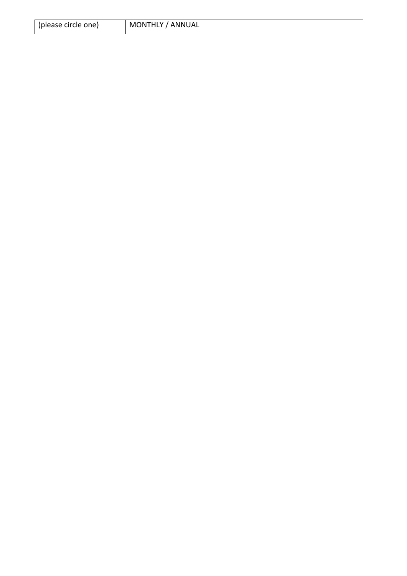| (please circle one) | MONTHLY / ANNUAL |
|---------------------|------------------|
|---------------------|------------------|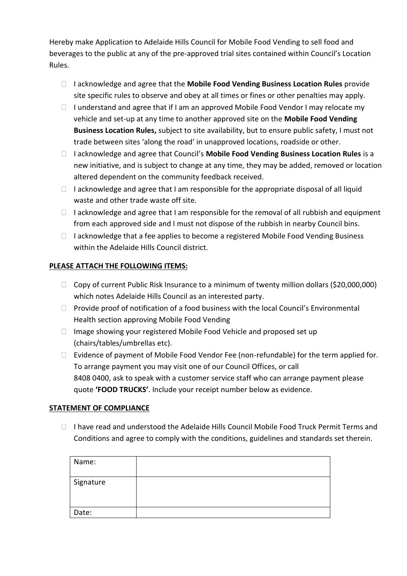Hereby make Application to Adelaide Hills Council for Mobile Food Vending to sell food and beverages to the public at any of the pre-approved trial sites contained within Council's Location Rules.

- I acknowledge and agree that the **Mobile Food Vending Business Location Rules** provide site specific rules to observe and obey at all times or fines or other penalties may apply.
- $\Box$  I understand and agree that if I am an approved Mobile Food Vendor I may relocate my vehicle and set-up at any time to another approved site on the **Mobile Food Vending Business Location Rules,** subject to site availability, but to ensure public safety, I must not trade between sites 'along the road' in unapproved locations, roadside or other.
- I acknowledge and agree that Council's **Mobile Food Vending Business Location Rules** is a new initiative, and is subject to change at any time, they may be added, removed or location altered dependent on the community feedback received.
- $\Box$  I acknowledge and agree that I am responsible for the appropriate disposal of all liquid waste and other trade waste off site.
- $\Box$  I acknowledge and agree that I am responsible for the removal of all rubbish and equipment from each approved side and I must not dispose of the rubbish in nearby Council bins.
- $\Box$  I acknowledge that a fee applies to become a registered Mobile Food Vending Business within the Adelaide Hills Council district.

## **PLEASE ATTACH THE FOLLOWING ITEMS:**

- $\Box$  Copy of current Public Risk Insurance to a minimum of twenty million dollars (\$20,000,000) which notes Adelaide Hills Council as an interested party.
- $\Box$  Provide proof of notification of a food business with the local Council's Environmental Health section approving Mobile Food Vending
- $\Box$  Image showing your registered Mobile Food Vehicle and proposed set up (chairs/tables/umbrellas etc).
- $\Box$  Evidence of payment of Mobile Food Vendor Fee (non-refundable) for the term applied for. To arrange payment you may visit one of our Council Offices, or call 8408 0400, ask to speak with a customer service staff who can arrange payment please quote **'FOOD TRUCKS'**. Include your receipt number below as evidence.

## **STATEMENT OF COMPLIANCE**

 $\Box$  I have read and understood the Adelaide Hills Council Mobile Food Truck Permit Terms and Conditions and agree to comply with the conditions, guidelines and standards set therein.

| Name:     |  |
|-----------|--|
| Signature |  |
| Date:     |  |